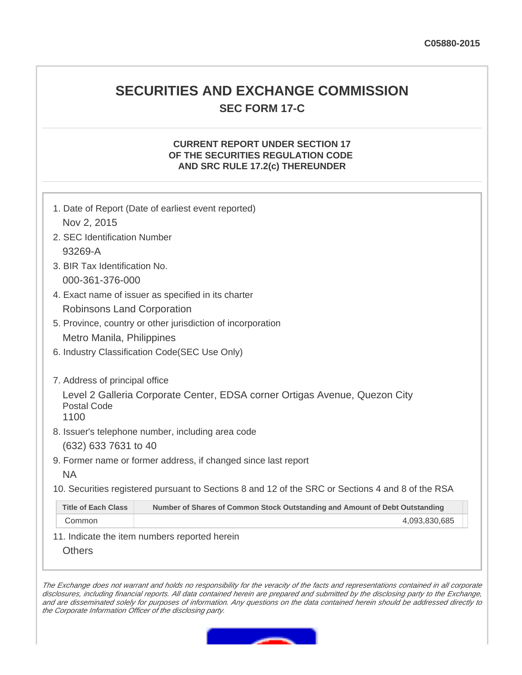# **SECURITIES AND EXCHANGE COMMISSION SEC FORM 17-C**

### **CURRENT REPORT UNDER SECTION 17 OF THE SECURITIES REGULATION CODE AND SRC RULE 17.2(c) THEREUNDER**

|                                                             | 1. Date of Report (Date of earliest event reported)                                               |  |
|-------------------------------------------------------------|---------------------------------------------------------------------------------------------------|--|
| Nov 2, 2015                                                 |                                                                                                   |  |
| 2. SEC Identification Number                                |                                                                                                   |  |
| 93269-A                                                     |                                                                                                   |  |
|                                                             | 3. BIR Tax Identification No.                                                                     |  |
| 000-361-376-000                                             |                                                                                                   |  |
| 4. Exact name of issuer as specified in its charter         |                                                                                                   |  |
| Robinsons Land Corporation                                  |                                                                                                   |  |
| 5. Province, country or other jurisdiction of incorporation |                                                                                                   |  |
|                                                             | Metro Manila, Philippines                                                                         |  |
|                                                             | 6. Industry Classification Code(SEC Use Only)                                                     |  |
|                                                             |                                                                                                   |  |
| 7. Address of principal office                              |                                                                                                   |  |
|                                                             | Level 2 Galleria Corporate Center, EDSA corner Ortigas Avenue, Quezon City                        |  |
|                                                             | <b>Postal Code</b><br>1100                                                                        |  |
| 8. Issuer's telephone number, including area code           |                                                                                                   |  |
|                                                             | (632) 633 7631 to 40                                                                              |  |
|                                                             | 9. Former name or former address, if changed since last report                                    |  |
| <b>NA</b>                                                   |                                                                                                   |  |
|                                                             | 10. Securities registered pursuant to Sections 8 and 12 of the SRC or Sections 4 and 8 of the RSA |  |
| <b>Title of Each Class</b>                                  | Number of Shares of Common Stock Outstanding and Amount of Debt Outstanding                       |  |
| Common                                                      | 4,093,830,685                                                                                     |  |
|                                                             | 11. Indicate the item numbers reported herein                                                     |  |

**Others** 

The Exchange does not warrant and holds no responsibility for the veracity of the facts and representations contained in all corporate disclosures, including financial reports. All data contained herein are prepared and submitted by the disclosing party to the Exchange, and are disseminated solely for purposes of information. Any questions on the data contained herein should be addressed directly to the Corporate Information Officer of the disclosing party.